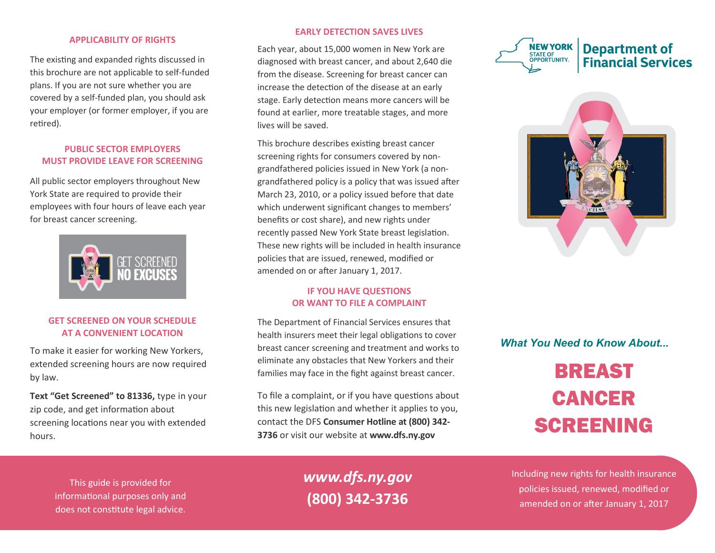#### **APPLICABILITY OF RIGHTS**

The existing and expanded rights discussed in this brochure are not applicable to self-funded plans. If you are not sure whether you are covered by a self-funded plan, you should ask your employer (or former employer, if you are retired).

### **PUBLIC SECTOR EMPLOYERS MUST PROVIDE LEAVE FOR SCREENING**

All public sector employers throughout New York State are required to provide their employees with four hours of leave each year for breast cancer screening.



## **GET SCREENED ON YOUR SCHEDULE AT A CONVENIENT LOCATION**

To make it easier for working New Yorkers, extended screening hours are now required by law.

**Text "Get Screened" to 81336,** type in your zip code, and get information about screening locations near you with extended hours.

### **EARLY DETECTION SAVES LIVES**

Each year, about 15,000 women in New York are diagnosed with breast cancer, and about 2,640 die from the disease. Screening for breast cancer can increase the detection of the disease at an early stage. Early detection means more cancers will be found at earlier, more treatable stages, and more lives will be saved.

This brochure describes existing breast cancer screening rights for consumers covered by nongrandfathered policies issued in New York (a nongrandfathered policy is a policy that was issued after March 23, 2010, or a policy issued before that date which underwent significant changes to members' benefits or cost share), and new rights under recently passed New York State breast legislation. These new rights will be included in health insurance policies that are issued, renewed, modified or amended on or after January 1, 2017.

### **IF YOU HAVE QUESTIONS OR WANT TO FILE A COMPLAINT**

The Department of Financial Services ensures that health insurers meet their legal obligations to cover breast cancer screening and treatment and works to eliminate any obstacles that New Yorkers and their families may face in the fight against breast cancer.

To file a complaint, or if you have questions about this new legislation and whether it applies to you, contact the DFS **Consumer Hotline at (800) 342- 3736** or visit our website at **[www.dfs.ny.gov](http://www.dfs.ny.gov)** 





# *What You Need to Know About...*

# BREAST CANCER SCREENING

This guide is provided for informational purposes only and does not constitute legal advice.

*www.dfs.ny.gov* **(800) 342-3736**

Including new rights for health insurance policies issued, renewed, modified or amended on or after January 1, 2017